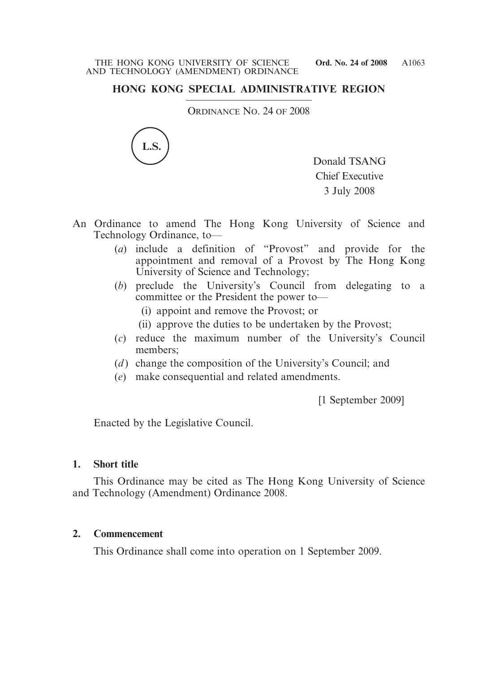# **HONG KONG SPECIAL ADMINISTRATIVE REGION**

ORDINANCE NO. 24 OF 2008



Donald TSANG Chief Executive 3 July 2008

- An Ordinance to amend The Hong Kong University of Science and Technology Ordinance, to—
	- (*a*) include a definition of "Provost" and provide for the appointment and removal of a Provost by The Hong Kong University of Science and Technology;
	- (*b*) preclude the University's Council from delegating to a committee or the President the power to—
		- (i) appoint and remove the Provost; or
		- (ii) approve the duties to be undertaken by the Provost;
	- (*c*) reduce the maximum number of the University's Council members;
	- (*d*) change the composition of the University's Council; and
	- (*e*) make consequential and related amendments.

[1 September 2009]

Enacted by the Legislative Council.

### **1. Short title**

This Ordinance may be cited as The Hong Kong University of Science and Technology (Amendment) Ordinance 2008.

### **2. Commencement**

This Ordinance shall come into operation on 1 September 2009.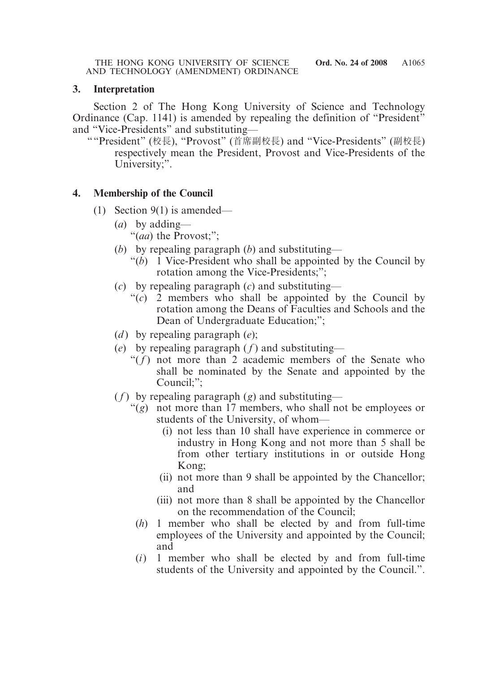### **3. Interpretation**

Section 2 of The Hong Kong University of Science and Technology Ordinance (Cap. 1141) is amended by repealing the definition of "President" and "Vice-Presidents" and substituting—

""President" (校長), "Provost" (首席副校長) and "Vice-Presidents" (副校長) respectively mean the President, Provost and Vice-Presidents of the University;".

### **4. Membership of the Council**

- (1) Section 9(1) is amended—
	- (*a*) by adding—
		- "(*aa*) the Provost;";
	- (*b*) by repealing paragraph (*b*) and substituting—
		- "(*b*) 1 Vice-President who shall be appointed by the Council by rotation among the Vice-Presidents;";
	- (*c*) by repealing paragraph (*c*) and substituting—
		- "(*c*) 2 members who shall be appointed by the Council by rotation among the Deans of Faculties and Schools and the Dean of Undergraduate Education;";
	- (*d* ) by repealing paragraph (*e*);
	- (*e*) by repealing paragraph  $(f)$  and substituting—
		- " $(f)$  not more than 2 academic members of the Senate who shall be nominated by the Senate and appointed by the Council;";
	- $(f)$  by repealing paragraph  $(g)$  and substituting—
		- "(*g*) not more than 17 members, who shall not be employees or students of the University, of whom—
			- (i) not less than 10 shall have experience in commerce or industry in Hong Kong and not more than 5 shall be from other tertiary institutions in or outside Hong Kong;
			- (ii) not more than 9 shall be appointed by the Chancellor; and
			- (iii) not more than 8 shall be appointed by the Chancellor on the recommendation of the Council;
			- (*h*) 1 member who shall be elected by and from full-time employees of the University and appointed by the Council; and
			- (*i*) 1 member who shall be elected by and from full-time students of the University and appointed by the Council.".